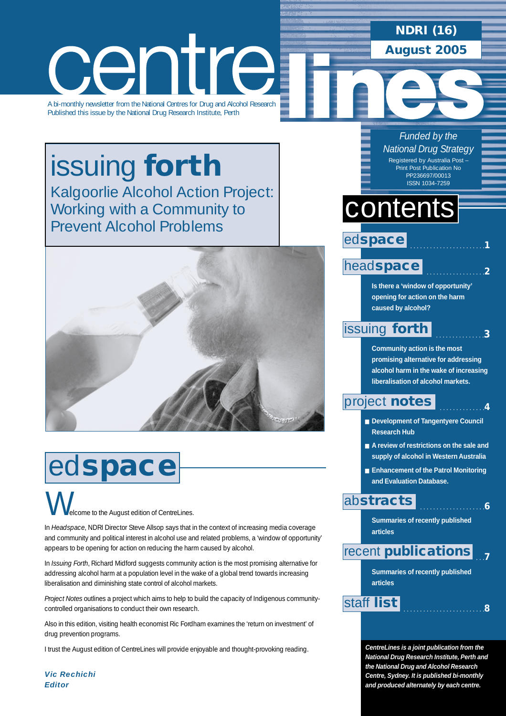# centre

A bi-monthly newsletter from the National Centres for Drug and Alcohol Research Published this issue by the National Drug Research Institute, Perth

# issuing **forth** [Kalgoorlie Alcohol Action Project:](#page-2-0) Working with a Community to Prevent Alcohol Problems



# ed**space**

elcome to the August edition of CentreLines.  $\bigvee$ 

In *Headspace*, NDRI Director Steve Allsop says that in the context of increasing media coverage and community and political interest in alcohol use and related problems, a 'window of opportunity' appears to be opening for action on reducing the harm caused by alcohol.

In *Issuing Forth*, Richard Midford suggests community action is the most promising alternative for addressing alcohol harm at a population level in the wake of a global trend towards increasing liberalisation and diminishing state control of alcohol markets.

*Project Notes* outlines a project which aims to help to build the capacity of Indigenous communitycontrolled organisations to conduct their own research.

Also in this edition, visiting health economist Ric Fordham examines the 'return on investment' of drug prevention programs.

I trust the August edition of CentreLines will provide enjoyable and thought-provoking reading.

*Vic Rechichi Editor*

### **NDRI (16) August 2005**

*Funded by the National Drug Strategy* Registered by Australia Post – Print Post Publication No PP236697/00013

ISSN 1034-7259

# contents

ed**space**

### head**[space](#page-1-0)**

**Is there a 'window of opportunity' opening for action on the harm caused by alcohol?** 

. . . . . . . . . . . . . . . . . . . . . . .**1**

. . . . . . . . . . . . . . . . . .**2**

. . . . . . . . . . . . . . .**3**

. . . . . . . . . . . . . .**4**

. . . . . . . . . . . . . . . . . . . .**6**

### [issuing](#page-2-0) **forth**

**Community action is the most promising alternative for addressing alcohol harm in the wake of increasing liberalisation of alcohol markets.**

### [project](#page-3-0) **notes**

- **Development of Tangentyere Council Research Hub**
- A review of restrictions on the sale and **supply of alcohol in Western Australia**
- **Enhancement of the Patrol Monitoring and Evaluation Database.**

### ab**[stracts](#page-5-0)**

**Summaries of recently published articles** 

#### . . .**7** recent **[publications](#page-6-0)**

**Summaries of recently published articles**

### . . . . . . . . . . . . . . . . . . . . . . . . .**<sup>8</sup>** [staff](#page-7-0) **list**

**CentreLines is a joint publication from the National Drug Research Institute, Perth and the National Drug and Alcohol Research Centre, Sydney. It is published bi-monthly and produced alternately by each centre.**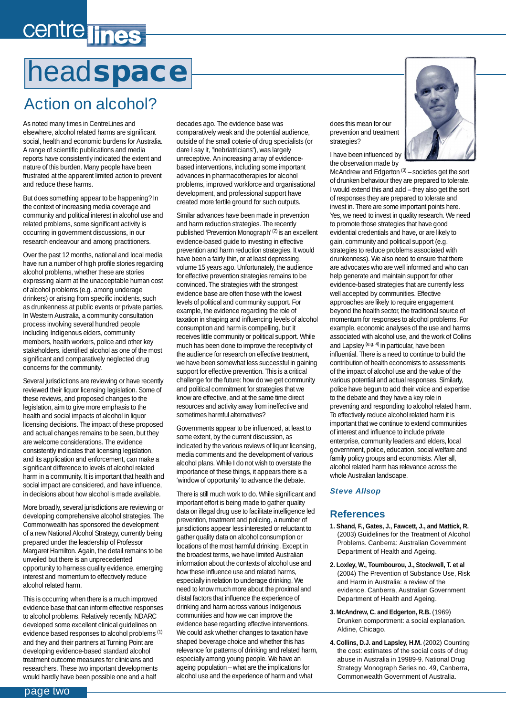# <span id="page-1-0"></span>centre lines

# head**space**

## Action on alcohol?

As noted many times in CentreLines and elsewhere, alcohol related harms are significant social, health and economic burdens for Australia. A range of scientific publications and media reports have consistently indicated the extent and nature of this burden. Many people have been frustrated at the apparent limited action to prevent and reduce these harms.

But does something appear to be happening? In the context of increasing media coverage and community and political interest in alcohol use and related problems, some significant activity is occurring in government discussions, in our research endeavour and among practitioners.

Over the past 12 months, national and local media have run a number of high profile stories regarding alcohol problems, whether these are stories expressing alarm at the unacceptable human cost of alcohol problems (e.g. among underage drinkers) or arising from specific incidents, such as drunkenness at public events or private parties. In Western Australia, a community consultation process involving several hundred people including Indigenous elders, community members, health workers, police and other key stakeholders, identified alcohol as one of the most significant and comparatively neglected drug concerns for the community.

Several jurisdictions are reviewing or have recently reviewed their liquor licensing legislation. Some of these reviews, and proposed changes to the legislation, aim to give more emphasis to the health and social impacts of alcohol in liquor licensing decisions. The impact of these proposed and actual changes remains to be seen, but they are welcome considerations. The evidence consistently indicates that licensing legislation, and its application and enforcement, can make a significant difference to levels of alcohol related harm in a community. It is important that health and social impact are considered, and have influence, in decisions about how alcohol is made available.

More broadly, several jurisdictions are reviewing or developing comprehensive alcohol strategies. The Commonwealth has sponsored the development of a new National Alcohol Strategy, currently being prepared under the leadership of Professor Margaret Hamilton. Again, the detail remains to be unveiled but there is an unprecedented opportunity to harness quality evidence, emerging interest and momentum to effectively reduce alcohol related harm.

This is occurring when there is a much improved evidence base that can inform effective responses to alcohol problems. Relatively recently, NDARC developed some excellent clinical guidelines on evidence based responses to alcohol problems (1) and they and their partners at Turning Point are developing evidence-based standard alcohol treatment outcome measures for clinicians and researchers. These two important developments would hardly have been possible one and a half

decades ago. The evidence base was comparatively weak and the potential audience, outside of the small coterie of drug specialists (or dare I say it, "inebriatricians"), was largely unreceptive. An increasing array of evidencebased interventions, including some important advances in pharmacotherapies for alcohol problems, improved workforce and organisational development, and professional support have created more fertile ground for such outputs.

Similar advances have been made in prevention and harm reduction strategies. The recently published 'Prevention Monograph' (2) is an excellent evidence-based guide to investing in effective prevention and harm reduction strategies. It would have been a fairly thin, or at least depressing, volume 15 years ago. Unfortunately, the audience for effective prevention strategies remains to be convinced. The strategies with the strongest evidence base are often those with the lowest levels of political and community support. For example, the evidence regarding the role of taxation in shaping and influencing levels of alcohol consumption and harm is compelling, but it receives little community or political support. While much has been done to improve the receptivity of the audience for research on effective treatment, we have been somewhat less successful in gaining support for effective prevention. This is a critical challenge for the future: how do we get community and political commitment for strategies that we know are effective, and at the same time direct resources and activity away from ineffective and sometimes harmful alternatives?

Governments appear to be influenced, at least to some extent, by the current discussion, as indicated by the various reviews of liquor licensing, media comments and the development of various alcohol plans. While I do not wish to overstate the importance of these things, it appears there is a 'window of opportunity' to advance the debate.

There is still much work to do. While significant and important effort is being made to gather quality data on illegal drug use to facilitate intelligence led prevention, treatment and policing, a number of jurisdictions appear less interested or reluctant to gather quality data on alcohol consumption or locations of the most harmful drinking. Except in the broadest terms, we have limited Australian information about the contexts of alcohol use and how these influence use and related harms, especially in relation to underage drinking. We need to know much more about the proximal and distal factors that influence the experience of drinking and harm across various Indigenous communities and how we can improve the evidence base regarding effective interventions. We could ask whether changes to taxation have shaped beverage choice and whether this has relevance for patterns of drinking and related harm, especially among young people. We have an ageing population – what are the implications for alcohol use and the experience of harm and what

does this mean for our prevention and treatment strategies?

I have been influenced by the observation made by



McAndrew and Edgerton  $(3)$  – societies get the sort of drunken behaviour they are prepared to tolerate. I would extend this and add – they also get the sort of responses they are prepared to tolerate and invest in. There are some important points here. Yes, we need to invest in quality research. We need to promote those strategies that have good evidential credentials and have, or are likely to gain, community and political support (e.g. strategies to reduce problems associated with drunkenness). We also need to ensure that there are advocates who are well informed and who can help generate and maintain support for other evidence-based strategies that are currently less well accepted by communities. Effective approaches are likely to require engagement beyond the health sector, the traditional source of momentum for responses to alcohol problems. For example, economic analyses of the use and harms associated with alcohol use, and the work of Collins and Lapsley (e.g. 4) in particular, have been influential. There is a need to continue to build the contribution of health economists to assessments of the impact of alcohol use and the value of the various potential and actual responses. Similarly, police have begun to add their voice and expertise to the debate and they have a key role in preventing and responding to alcohol related harm. To effectively reduce alcohol related harm it is important that we continue to extend communities of interest and influence to include private enterprise, community leaders and elders, local government, police, education, social welfare and family policy groups and economists. After all, alcohol related harm has relevance across the whole Australian landscape.

### *Steve Allsop*

### **References**

- **1. Shand, F., Gates, J., Fawcett, J., and Mattick, R.** (2003) Guidelines for the Treatment of Alcohol Problems. Canberra: Australian Government Department of Health and Ageing.
- **2. Loxley, W., Toumbourou, J., Stockwell, T. et al** (2004) The Prevention of Substance Use, Risk and Harm in Australia: a review of the evidence. Canberra, Australian Government Department of Health and Ageing.
- **3. McAndrew, C. and Edgerton, R.B.** (1969) Drunken comportment: a social explanation. Aldine, Chicago.
- 4. Collins, D.J. and Lapsley, H.M. (2002) Counting the cost: estimates of the social costs of drug abuse in Australia in 19989-9. National Drug Strategy Monograph Series no. 49, Canberra, Commonwealth Government of Australia.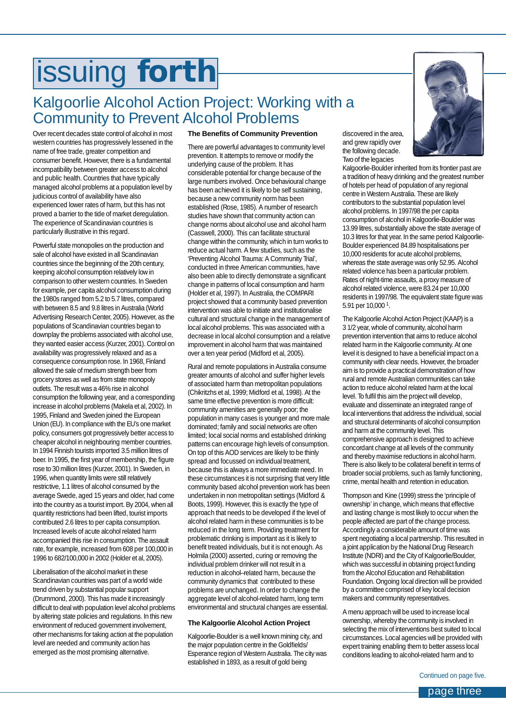# <span id="page-2-0"></span>issuing **forth**

### Kalgoorlie Alcohol Action Project: Working with a Community to Prevent Alcohol Problems

Over recent decades state control of alcohol in most western countries has progressively lessened in the name of free trade, greater competition and consumer benefit. However, there is a fundamental incompatibility between greater access to alcohol and public health. Countries that have typically managed alcohol problems at a population level by judicious control of availability have also experienced lower rates of harm, but this has not proved a barrier to the tide of market deregulation. The experience of Scandinavian countries is particularly illustrative in this regard.

Powerful state monopolies on the production and sale of alcohol have existed in all Scandinavian countries since the beginning of the 20th century, keeping alcohol consumption relatively low in comparison to other western countries. In Sweden for example, per capita alcohol consumption during the 1980s ranged from 5.2 to 5.7 litres, compared with between 8.5 and 9.8 litres in Australia (World Advertising Research Center, 2005). However, as the populations of Scandinavian countries began to downplay the problems associated with alcohol use, they wanted easier access (Kurzer, 2001). Control on availability was progressively relaxed and as a consequence consumption rose. In 1968, Finland allowed the sale of medium strength beer from grocery stores as well as from state monopoly outlets. The result was a 46% rise in alcohol consumption the following year, and a corresponding increase in alcohol problems (Makela et al, 2002). In 1995, Finland and Sweden joined the European Union (EU). In compliance with the EU's one market policy, consumers got progressively better access to cheaper alcohol in neighbouring member countries. In 1994 Finnish tourists imported 3.5 million litres of beer. In 1995, the first year of membership, the figure rose to 30 million litres (Kurzer, 2001). In Sweden, in 1996, when quantity limits were still relatively restrictive, 1.1 litres of alcohol consumed by the average Swede, aged 15 years and older, had come into the country as a tourist import. By 2004, when all quantity restrictions had been lifted, tourist imports contributed 2.6 litres to per capita consumption. Increased levels of acute alcohol related harm accompanied this rise in consumption. The assault rate, for example, increased from 608 per 100,000 in 1996 to 682/100,000 in 2002 (Holder et al, 2005).

Liberalisation of the alcohol market in these Scandinavian countries was part of a world wide trend driven by substantial popular support (Drummond, 2000). This has made it increasingly difficult to deal with population level alcohol problems by altering state policies and regulations. In this new environment of reduced government involvement, other mechanisms for taking action at the population level are needed and community action has emerged as the most promising alternative.

#### **The Benefits of Community Prevention**

There are powerful advantages to community level prevention. It attempts to remove or modify the underlying cause of the problem. It has considerable potential for change because of the large numbers involved. Once behavioural change has been achieved it is likely to be self sustaining, because a new community norm has been established (Rose, 1985). A number of research studies have shown that community action can change norms about alcohol use and alcohol harm (Casswell, 2000). This can facilitate structural change within the community, which in turn works to reduce actual harm. A few studies, such as the 'Preventing Alcohol Trauma: A Community Trial', conducted in three American communities, have also been able to directly demonstrate a significant change in patterns of local consumption and harm (Holder et al, 1997). In Australia, the COMPARI project showed that a community based prevention intervention was able to initiate and institutionalise cultural and structural change in the management of local alcohol problems. This was associated with a decrease in local alcohol consumption and a relative improvement in alcohol harm that was maintained over a ten year period (Midford et al, 2005).

Rural and remote populations in Australia consume greater amounts of alcohol and suffer higher levels of associated harm than metropolitan populations (Chikritzhs et al, 1999; Midford et al, 1998). At the same time effective prevention is more difficult: community amenities are generally poor; the population in many cases is younger and more male dominated; family and social networks are often limited; local social norms and established drinking patterns can encourage high levels of consumption. On top of this AOD services are likely to be thinly spread and focussed on individual treatment, because this is always a more immediate need. In these circumstances it is not surprising that very little community based alcohol prevention work has been undertaken in non metropolitan settings (Midford & Boots, 1999). However, this is exactly the type of approach that needs to be developed if the level of alcohol related harm in these communities is to be reduced in the long term. Providing treatment for problematic drinking is important as it is likely to benefit treated individuals, but it is not enough. As Holmila (2000) asserted, curing or removing the individual problem drinker will not result in a reduction in alcohol–related harm, because the community dynamics that contributed to these problems are unchanged. In order to change the aggregate level of alcohol-related harm, long term environmental and structural changes are essential.

#### **The Kalgoorlie Alcohol Action Project**

Kalgoorlie-Boulder is a well known mining city, and the major population centre in the Goldfields/ Esperance region of Western Australia. The city was established in 1893, as a result of gold being

discovered in the area, and grew rapidly over the following decade. Two of the legacies

Kalgoorlie-Boulder inherited from its frontier past are a tradition of heavy drinking and the greatest number of hotels per head of population of any regional centre in Western Australia. These are likely contributors to the substantial population level alcohol problems. In 1997/98 the per capita consumption of alcohol in Kalgoorlie-Boulder was 13.99 litres, substantially above the state average of 10.3 litres for that year. In the same period Kalgoorlie-Boulder experienced 84.89 hospitalisations per 10,000 residents for acute alcohol problems, whereas the state average was only 52.95. Alcohol related violence has been a particular problem. Rates of night-time assaults, a proxy measure of alcohol related violence, were 83.24 per 10,000 residents in 1997/98. The equivalent state figure was 5.91 per 10,000 1.

The Kalgoorlie Alcohol Action Project (KAAP) is a 3 1/2 year, whole of community, alcohol harm prevention intervention that aims to reduce alcohol related harm in the Kalgoorlie community. At one level it is designed to have a beneficial impact on a community with clear needs. However, the broader aim is to provide a practical demonstration of how rural and remote Australian communities can take action to reduce alcohol related harm at the local level. To fulfil this aim the project will develop, evaluate and disseminate an integrated range of local interventions that address the individual, social and structural determinants of alcohol consumption and harm at the community level. This comprehensive approach is designed to achieve concordant change at all levels of the community and thereby maximise reductions in alcohol harm. There is also likely to be collateral benefit in terms of broader social problems, such as family functioning, crime, mental health and retention in education.

Thompson and Kine (1999) stress the 'principle of ownership' in change, which means that effective and lasting change is most likely to occur when the people affected are part of the change process. Accordingly a considerable amount of time was spent negotiating a local partnership. This resulted in a joint application by the National Drug Research Institute (NDRI) and the City of Kalgoorlie/Boulder, which was successful in obtaining project funding from the Alcohol Education and Rehabilitation Foundation. Ongoing local direction will be provided by a committee comprised of key local decision makers and community representatives.

A menu approach will be used to increase local ownership, whereby the community is involved in selecting the mix of interventions best suited to local circumstances. Local agencies will be provided with expert training enabling them to better assess local conditions leading to alcohol-related harm and to

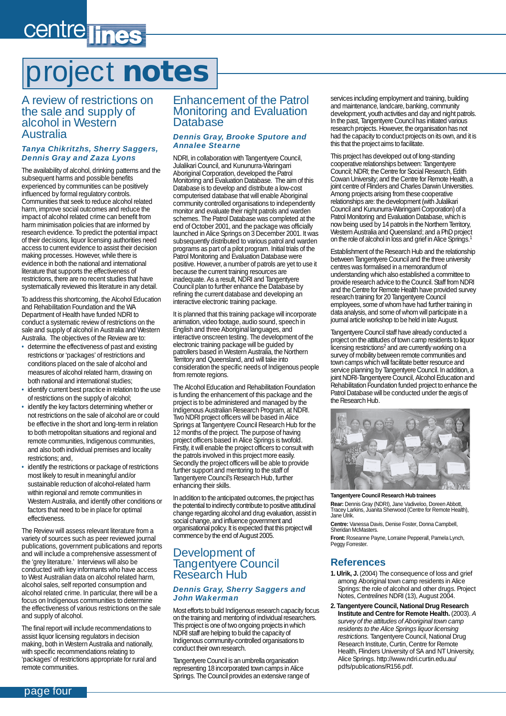# <span id="page-3-0"></span>centre lines

# project **notes**

### A review of restrictions on the sale and supply of alcohol in Western Australia

#### *Tanya Chikritzhs, Sherry Saggers, Dennis Gray and Zaza Lyons*

The availability of alcohol, drinking patterns and the subsequent harms and possible benefits experienced by communities can be positively influenced by formal regulatory controls. Communities that seek to reduce alcohol related harm, improve social outcomes and reduce the impact of alcohol related crime can benefit from harm minimisation policies that are informed by research evidence. To predict the potential impact of their decisions, liquor licensing authorities need access to current evidence to assist their decision making processes. However, while there is evidence in both the national and international literature that supports the effectiveness of restrictions, there are no recent studies that have systematically reviewed this literature in any detail.

To address this shortcoming, the Alcohol Education and Rehabilitation Foundation and the WA Department of Health have funded NDRI to conduct a systematic review of restrictions on the sale and supply of alcohol in Australia and Western Australia. The objectives of the Review are to:

- determine the effectiveness of past and existing restrictions or 'packages' of restrictions and conditions placed on the sale of alcohol and measures of alcohol related harm, drawing on both national and international studies;
- identify current best practice in relation to the use of restrictions on the supply of alcohol;
- identify the key factors determining whether or not restrictions on the sale of alcohol are or could be effective in the short and long-term in relation to both metropolitan situations and regional and remote communities, Indigenous communities, and also both individual premises and locality restrictions; and,
- identify the restrictions or package of restrictions most likely to result in meaningful and/or sustainable reduction of alcohol-related harm within regional and remote communities in Western Australia, and identify other conditions or factors that need to be in place for optimal effectiveness.

The Review will assess relevant literature from a variety of sources such as peer reviewed journal publications, government publications and reports and will include a comprehensive assessment of the 'grey literature.' Interviews will also be conducted with key informants who have access to West Australian data on alcohol related harm, alcohol sales, self reported consumption and alcohol related crime. In particular, there will be a focus on Indigenous communities to determine the effectiveness of various restrictions on the sale and supply of alcohol.

The final report will include recommendations to assist liquor licensing regulators in decision making, both in Western Australia and nationally, with specific recommendations relating to 'packages' of restrictions appropriate for rural and remote communities.

### Enhancement of the Patrol Monitoring and Evaluation Database

#### *Dennis Gray, Brooke Sputore and Annalee Stearne*

NDRI, in collaboration with Tangentyere Council, Julalikari Council, and Kununurra-Waringarri Aboriginal Corporation, developed the Patrol Monitoring and Evaluation Database. The aim of this Database is to develop and distribute a low-cost computerised database that will enable Aboriginal community controlled organisations to independently monitor and evaluate their night patrols and warden schemes. The Patrol Database was completed at the end of October 2001, and the package was officially launched in Alice Springs on 3 December 2001. It was subsequently distributed to various patrol and warden programs as part of a pilot program. Initial trials of the Patrol Monitoring and Evaluation Database were positive. However, a number of patrols are yet to use it because the current training resources are inadequate. As a result, NDRI and Tangentyere Council plan to further enhance the Database by refining the current database and developing an interactive electronic training package.

It is planned that this training package will incorporate animation, video footage, audio sound, speech in English and three Aboriginal languages, and interactive onscreen testing. The development of the electronic training package will be guided by patrollers based in Western Australia, the Northern Territory and Queensland, and will take into consideration the specific needs of Indigenous people from remote regions.

The Alcohol Education and Rehabilitation Foundation is funding the enhancement of this package and the project is to be administered and managed by the Indigenous Australian Research Program, at NDRI. Two NDRI project officers will be based in Alice Springs at Tangentyere Council Research Hub for the 12 months of the project. The purpose of having project officers based in Alice Springs is twofold. Firstly, it will enable the project officers to consult with the patrols involved in this project more easily. Secondly the project officers will be able to provide further support and mentoring to the staff of Tangentyere Council's Research Hub, further enhancing their skills.

In addition to the anticipated outcomes, the project has the potential to indirectly contribute to positive attitudinal change regarding alcohol and drug evaluation, assist in social change, and influence government and organisational policy. It is expected that this project will commence by the end of August 2005.

### Development of Tangentyere Council Research Hub

#### *Dennis Gray, Sherry Saggers and John Wakerman*

Most efforts to build Indigenous research capacity focus on the training and mentoring of individual researchers. This project is one of two ongoing projects in which NDRI staff are helping to build the capacity of Indigenous community-controlled organisations to conduct their own research.

Tangentyere Council is an umbrella organisation representing 18 incorporated town camps in Alice Springs. The Council provides an extensive range of services including employment and training, building and maintenance, landcare, banking, community development, youth activities and day and night patrols. In the past, Tangentyere Council has initiated various research projects. However, the organisation has not had the capacity to conduct projects on its own, and it is this that the project aims to facilitate.

This project has developed out of long-standing cooperative relationships between: Tangentyere Council; NDRI; the Centre for Social Research, Edith Cowan University; and the Centre for Remote Health, a joint centre of Flinders and Charles Darwin Universities. Among projects arising from these cooperative relationships are: the development (with Julalikari Council and Kununurra-Waringarri Corporation) of a Patrol Monitoring and Evaluation Database, which is now being used by 14 patrols in the Northern Territory, Western Australia and Queensland; and a PhD project on the role of alcohol in loss and grief in Alice Springs.1

Establishment of the Research Hub and the relationship between Tangentyere Council and the three university centres was formalised in a memorandum of understanding which also established a committee to provide research advice to the Council. Staff from NDRI and the Centre for Remote Health have provided survey research training for 20 Tangentyere Council employees, some of whom have had further training in data analysis, and some of whom will participate in a journal article workshop to be held in late August.

Tangentyere Council staff have already conducted a project on the attitudes of town camp residents to liquor licensing restrictions<sup>2</sup> and are currently working on a survey of mobility between remote communities and town camps which will facilitate better resource and service planning by Tangentyere Council. In addition, a joint NDRI-Tangentyere Council, Alcohol Education and Rehabilitation Foundation funded project to enhance the Patrol Database will be conducted under the ægis of the Research Hub.



**Tangentyere Council Research Hub trainees Rear:** Dennis Gray (NDRI), Jane Vadiveloo, Doreen Abbott, Tracey Larkins, Juanita Sherwood (Centre for Remote Health), Jane Ulrik.

**Centre:** Vanessa Davis, Denise Foster, Donna Campbell,<br>Sheridan McMasters.

**Front:** Roseanne Payne, Lorraine Pepperall, Pamela Lynch, Peggy Forrester.

### **References**

- **1. Ulrik, J.** (2004) The consequence of loss and grief among Aboriginal town camp residents in Alice Springs: the role of alcohol and other drugs. Project Notes, *Centrelines* NDRI (13), August 2004.
- **2. Tangentyere Council, National Drug Research Institute and Centre for Remote Health.** (2003). *A survey of the attitudes of Aboriginal town camp residents to the Alice Springs liquor licensing restrictions.* Tangentyere Council, National Drug Research Institute, Curtin, Centre for Remote Health, Flinders University of SA and NT University, Alice Springs. http://www.ndri.curtin.edu.au/ pdfs/publications/R156.pdf.

page four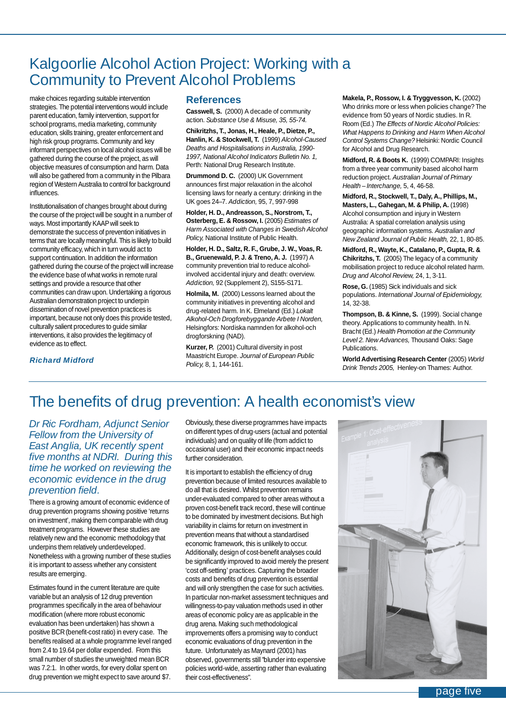### Kalgoorlie Alcohol Action Project: Working with a Community to Prevent Alcohol Problems

make choices regarding suitable intervention strategies. The potential interventions would include parent education, family intervention, support for school programs, media marketing, community education, skills training, greater enforcement and high risk group programs. Community and key informant perspectives on local alcohol issues will be gathered during the course of the project, as will objective measures of consumption and harm. Data will also be gathered from a community in the Pilbara region of Western Australia to control for background influences.

Institutionalisation of changes brought about during the course of the project will be sought in a number of ways. Most importantly KAAP will seek to demonstrate the success of prevention initiatives in terms that are locally meaningful. This is likely to build community efficacy, which in turn would act to support continuation. In addition the information gathered during the course of the project will increase the evidence base of what works in remote rural settings and provide a resource that other communities can draw upon. Undertaking a rigorous Australian demonstration project to underpin dissemination of novel prevention practices is important, because not only does this provide tested, culturally salient procedures to guide similar interventions, it also provides the legitimacy of evidence as to effect.

### **References**

**Casswell, S.** (2000) A decade of community action. *Substance Use & Misuse, 35, 55-74.*

**Chikritzhs, T., Jonas, H., Heale, P., Dietze, P., Hanlin, K. & Stockwell, T.** (1999) *Alcohol-Caused Deaths and Hospitalisations in Australia, 1990- 1997, National Alcohol Indicators Bulletin No. 1,* Perth: National Drug Research Institute.

**Drummond D. C.** (2000) UK Government announces first major relaxation in the alcohol licensing laws for nearly a century: drinking in the UK goes 24–7. *Addiction,* 95, 7, 997-998

**Holder, H. D., Andreasson, S., Norstrom, T., Osterberg, E. & Rossow, I.** (2005) *Estimates of Harm Associated with Changes in Swedish Alcohol Policy,* National Institute of Public Health.

**Holder, H. D., Saltz, R. F., Grube, J. W., Voas, R. B., Gruenewald, P. J. & Treno, A. J.** (1997) A community prevention trial to reduce alcoholinvolved accidental injury and death: overview. *Addiction,* 92 (Supplement 2), S155-S171.

**Holmila, M.** (2000) Lessons learned about the community initiatives in preventing alcohol and drug-related harm. In K. Elmeland (Ed.) *Lokalt Alkohol-Och Drogforebyggande Arbete I Norden,* Helsingfors: Nordiska namnden for alkohol-och drogforskning (NAD).

**Kurzer, P.** (2001) Cultural diversity in post Maastricht Europe. *Journal of European Public Policy,* 8, 1, 144-161.

**Makela, P., Rossow, I. & Tryggvesson, K.** (2002) Who drinks more or less when policies change? The evidence from 50 years of Nordic studies. In R. Room (Ed.) *The Effects of Nordic Alcohol Policies: What Happens to Drinking and Harm When Alcohol Control Systems Change?* Helsinki: Nordic Council for Alcohol and Drug Research.

**Midford, R. & Boots K.** (1999) COMPARI: Insights from a three year community based alcohol harm reduction project. *Australian Journal of Primary Health – Interchange,* 5, 4, 46-58.

**Midford, R., Stockwell, T., Daly, A., Phillips, M., Masters, L., Gahegan, M. & Philip, A.** (1998) Alcohol consumption and injury in Western Australia: A spatial correlation analysis using geographic information systems. *Australian and New Zealand Journal of Public Health,* 22, 1, 80-85.

**Midford, R., Wayte, K., Catalano, P., Gupta, R. & Chikritzhs, T.** (2005) The legacy of a community mobilisation project to reduce alcohol related harm. *Drug and Alcohol Review,* 24, 1, 3-11.

**Rose, G.** (1985) Sick individuals and sick populations. *International Journal of Epidemiology,* 14, 32-38.

**Thompson, B. & Kinne, S.** (1999). Social change theory. Applications to community health. In N. Bracht (Ed.) *Health Promotion at the Community Level 2. New Advances,* Thousand Oaks: Sage Publications.

**World Advertising Research Center** (2005) *World Drink Trends 2005,* Henley-on Thames: Author.

### *Richard Midford*

### The benefits of drug prevention: A health economist's view

*Dr Ric Fordham, Adjunct Senior Fellow from the University of East Anglia, UK recently spent five months at NDRI. During this time he worked on reviewing the economic evidence in the drug prevention field.* 

There is a growing amount of economic evidence of drug prevention programs showing positive 'returns on investment', making them comparable with drug treatment programs. However these studies are relatively new and the economic methodology that underpins them relatively underdeveloped. Nonetheless with a growing number of these studies it is important to assess whether any consistent results are emerging.

Estimates found in the current literature are quite variable but an analysis of 12 drug prevention programmes specifically in the area of behaviour modification (where more robust economic evaluation has been undertaken) has shown a positive BCR (benefit-cost ratio) in every case. The benefits realised at a whole programme level ranged from 2.4 to 19.64 per dollar expended. From this small number of studies the unweighted mean BCR was 7.2:1. In other words, for every dollar spent on drug prevention we might expect to save around \$7.

Obviously, these diverse programmes have impacts on different types of drug-users (actual and potential individuals) and on quality of life (from addict to occasional user) and their economic impact needs further consideration.

It is important to establish the efficiency of drug prevention because of limited resources available to do all that is desired. Whilst prevention remains under-evaluated compared to other areas without a proven cost-benefit track record, these will continue to be dominated by investment decisions. But high variability in claims for return on investment in prevention means that without a standardised economic framework, this is unlikely to occur. Additionally, design of cost-benefit analyses could be significantly improved to avoid merely the present 'cost off-setting' practices. Capturing the broader costs and benefits of drug prevention is essential and will only strengthen the case for such activities. In particular non-market assessment techniques and willingness-to-pay valuation methods used in other areas of economic policy are as applicable in the drug arena. Making such methodological improvements offers a promising way to conduct economic evaluations of drug prevention in the future. Unfortunately as Maynard (2001) has observed, governments still "blunder into expensive policies world-wide, asserting rather than evaluating their cost-effectiveness".

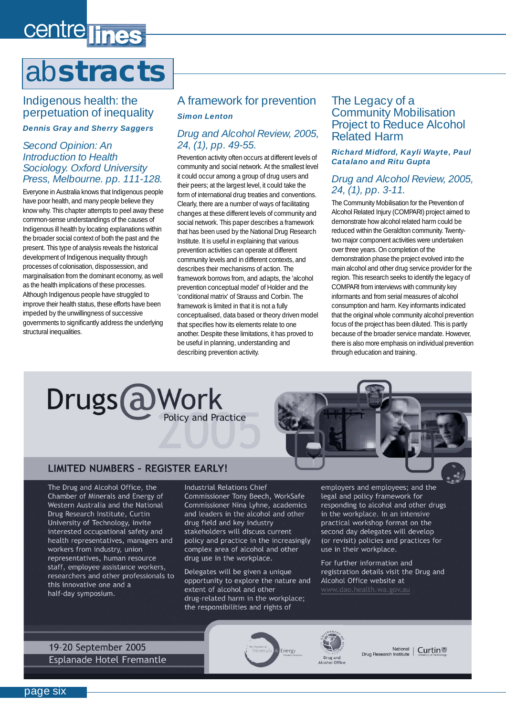# <span id="page-5-0"></span>centre lines

# ab**stracts**

### Indigenous health: the perpetuation of inequality

#### *Dennis Gray and Sherry Saggers*

### *Second Opinion: An Introduction to Health Sociology. Oxford University Press, Melbourne. pp. 111-128.*

Everyone in Australia knows that Indigenous people have poor health, and many people believe they know why. This chapter attempts to peel away these common-sense understandings of the causes of Indigenous ill health by locating explanations within the broader social context of both the past and the present. This type of analysis reveals the historical development of Indigenous inequality through processes of colonisation, dispossession, and marginalisation from the dominant economy, as well as the health implications of these processes. Although Indigenous people have struggled to improve their health status, these efforts have been impeded by the unwillingness of successive governments to significantly address the underlying structural inequalities.

### A framework for prevention *Simon Lenton*

### *Drug and Alcohol Review, 2005, 24, (1), pp. 49-55.*

Prevention activity often occurs at different levels of community and social network. At the smallest level it could occur among a group of drug users and their peers; at the largest level, it could take the form of international drug treaties and conventions. Clearly, there are a number of ways of facilitating changes at these different levels of community and social network. This paper describes a framework that has been used by the National Drug Research Institute. It is useful in explaining that various prevention activities can operate at different community levels and in different contexts, and describes their mechanisms of action. The framework borrows from, and adapts, the 'alcohol prevention conceptual model' of Holder and the 'conditional matrix' of Strauss and Corbin. The framework is limited in that it is not a fully conceptualised, data based or theory driven model that specifies how its elements relate to one another. Despite these limitations, it has proved to be useful in planning, understanding and describing prevention activity.

### The Legacy of a Community Mobilisation Project to Reduce Alcohol Related Harm

#### *Richard Midford, Kayli Wayte, Paul Catalano and Ritu Gupta*

### *Drug and Alcohol Review, 2005, 24, (1), pp. 3-11.*

The Community Mobilisation for the Prevention of Alcohol Related Injury (COMPARI) project aimed to demonstrate how alcohol related harm could be reduced within the Geraldton community. Twentytwo major component activities were undertaken over three years. On completion of the demonstration phase the project evolved into the main alcohol and other drug service provider for the region. This research seeks to identify the legacy of COMPARI from interviews with community key informants and from serial measures of alcohol consumption and harm. Key informants indicated that the original whole community alcohol prevention focus of the project has been diluted. This is partly because of the broader service mandate. However, there is also more emphasis on individual prevention through education and training.





### **LIMITED NUMBERS - REGISTER EARLY!**

The Drug and Alcohol Office, the Chamber of Minerals and Energy of Western Australia and the National Drug Research Institute, Curtin University of Technology, invite interested occupational safety and health representatives, managers and workers from industry, union representatives, human resource staff, employee assistance workers, researchers and other professionals to this innovative one and a half-day symposium.

**Industrial Relations Chief** Commissioner Tony Beech, WorkSafe Commissioner Nina Lyhne, academics and leaders in the alcohol and other drug field and key industry stakeholders will discuss current policy and practice in the increasingly complex area of alcohol and other drug use in the workplace.

Delegates will be given a unique opportunity to explore the nature and extent of alcohol and other drug-related harm in the workplace; the responsibilities and rights of

employers and employees; and the legal and policy framework for responding to alcohol and other drugs in the workplace. In an intensive practical workshop format on the second day delegates will develop (or revisit) policies and practices for use in their workplace.

For further information and registration details visit the Drug and Alcohol Office website at

19-20 September 2005 Esplanade Hotel Fremantle





National Curtin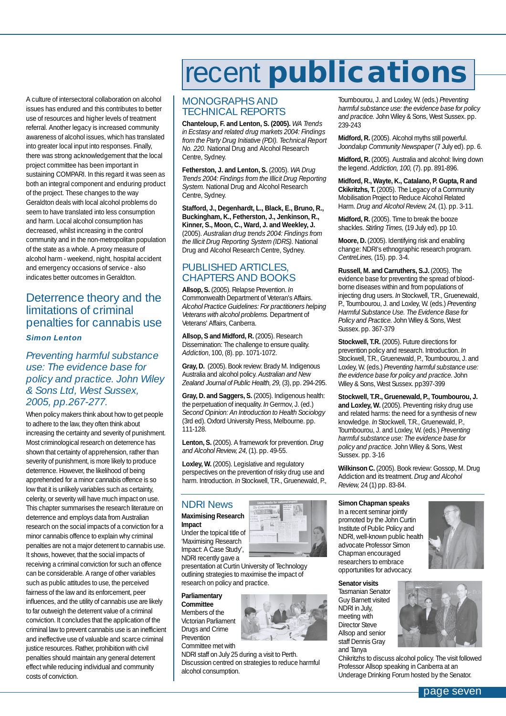<span id="page-6-0"></span>A culture of intersectoral collaboration on alcohol issues has endured and this contributes to better use of resources and higher levels of treatment referral. Another legacy is increased community awareness of alcohol issues, which has translated into greater local input into responses. Finally, there was strong acknowledgement that the local project committee has been important in sustaining COMPARI. In this regard it was seen as both an integral component and enduring product of the project. These changes to the way Geraldton deals with local alcohol problems do seem to have translated into less consumption and harm. Local alcohol consumption has decreased, whilst increasing in the control community and in the non-metropolitan population of the state as a whole. A proxy measure of alcohol harm - weekend, night, hospital accident and emergency occasions of service - also indicates better outcomes in Geraldton.

### Deterrence theory and the limitations of criminal penalties for cannabis use

#### *Simon Lenton*

### *Preventing harmful substance use: The evidence base for policy and practice. John Wiley & Sons Ltd, West Sussex, 2005, pp.267-277.*

When policy makers think about how to get people to adhere to the law, they often think about increasing the certainty and severity of punishment. Most criminological research on deterrence has shown that certainty of apprehension, rather than severity of punishment, is more likely to produce deterrence. However, the likelihood of being apprehended for a minor cannabis offence is so low that it is unlikely variables such as certainty, celerity, or severity will have much impact on use. This chapter summarises the research literature on deterrence and employs data from Australian research on the social impacts of a conviction for a minor cannabis offence to explain why criminal penalties are not a major deterrent to cannabis use. It shows, however, that the social impacts of receiving a criminal conviction for such an offence can be considerable. A range of other variables such as public attitudes to use, the perceived fairness of the law and its enforcement, peer influences, and the utility of cannabis use are likely to far outweigh the deterrent value of a criminal conviction. It concludes that the application of the criminal law to prevent cannabis use is an inefficient and ineffective use of valuable and scarce criminal justice resources. Rather, prohibition with civil penalties should maintain any general deterrent effect while reducing individual and community costs of conviction.

# recent **publications**

### MONOGRAPHS AND TECHNICAL REPORTS

**Chanteloup, F. and Lenton, S. (2005).** *WA Trends in Ecstasy and related drug markets 2004: Findings from the Party Drug Initiative (PDI). Technical Report No. 220.* National Drug and Alcohol Research Centre, Sydney.

**Fetherston, J. and Lenton, S.** (2005). *WA Drug Trends 2004: Findings from the Illicit Drug Reporting System.* National Drug and Alcohol Research Centre, Sydney.

**Stafford, J., Degenhardt, L., Black, E., Bruno, R., Buckingham, K., Fetherston, J., Jenkinson, R., Kinner, S., Moon, C., Ward, J. and Weekley, J.** (2005). *Australian drug trends 2004: Findings from the Illicit Drug Reporting System (IDRS).* National Drug and Alcohol Research Centre, Sydney.

### PUBLISHED ARTICLES. CHAPTERS AND BOOKS

**Allsop, S.** (2005). Relapse Prevention. *In* Commonwealth Department of Veteran's Affairs. *Alcohol Practice Guidelines: For practitioners helping Veterans with alcohol problems.* Department of Veterans' Affairs, Canberra.

Allsop, S and Midford, R. (2005). Research Dissemination: The challenge to ensure quality. *Addiction*, 100, (8). pp. 1071-1072.

**Gray, D.** (2005). Book review: Brady M. Indigenous Australia and alcohol policy. *Australian and New Zealand Journal of Public Health, 29,* (3), pp. 294-295.

**Gray, D. and Saggers, S.** (2005). Indigenous health: the perpetuation of inequality. *In* Germov, J. (ed.) *Second Opinion: An Introduction to Health Sociology* (3rd ed). Oxford University Press, Melbourne. pp. 111-128.

**Lenton, S.** (2005). A framework for prevention. *Drug and Alcohol Review, 24,* (1). pp. 49-55.

**Loxley, W.** (2005). Legislative and regulatory perspectives on the prevention of risky drug use and harm. Introduction. *In* Stockwell, T.R., Gruenewald, P.,

### NDRI News

**Maximising Research Impact**

Under the topical title of 'Maximising Research Impact: A Case Study', NDRI recently gave a



#### **Parliamentary Committee**

Members of the Victorian Parliament Drugs and Crime Prevention Committee met with

NDRI staff on July 25 during a visit to Perth. Discussion centred on strategies to reduce harmful alcohol consumption.

Toumbourou, J. and Loxley, W. (eds.) *Preventing harmful substance use: the evidence base for policy and practice.* John Wiley & Sons, West Sussex. pp. 239-243

**Midford, R.** (2005). Alcohol myths still powerful. *Joondalup Community Newspaper* (7 July ed). pp. 6.

**Midford, R.** (2005). Australia and alcohol: living down the legend. *Addiction, 100,* (7). pp. 891-896.

**Midford, R., Wayte, K., Catalano, P. Gupta, R and Ckikritzhs, T.** (2005). The Legacy of a Community Mobilisation Project to Reduce Alcohol Related Harm. *Drug and Alcohol Review, 24,* (1). pp. 3-11.

**Midford, R.** (2005). Time to break the booze shackles. *Stirling Times,* (19 July ed). pp 10.

**Moore, D.** (2005). Identifying risk and enabling change: NDRI's ethnographic research program. *CentreLines,* (15). pp. 3-4.

**Russell, M. and Carruthers, S.J.** (2005). The evidence base for preventing the spread of bloodborne diseases within and from populations of injecting drug users. *In* Stockwell, T.R., Gruenewald, P., Toumbourou, J. and Loxley, W. (eds.) *Preventing Harmful Substance Use. The Evidence Base for Policy and Practice.* John Wiley & Sons, West Sussex. pp. 367-379

**Stockwell, T.R.** (2005). Future directions for prevention policy and research. Introduction. *In* Stockwell, T.R., Gruenewald, P., Toumbourou, J. and Loxley, W. (eds.) *Preventing harmful substance use: the evidence base for policy and practice.* John Wiley & Sons, West Sussex. pp397-399

**Stockwell, T.R., Gruenewald, P., Toumbourou, J.** and Loxley, W. (2005). Preventing risky drug use and related harms: the need for a synthesis of new knowledge. *In* Stockwell, T.R., Gruenewald, P., Toumbourou, J. and Loxley, W. (eds.) *Preventing harmful substance use: The evidence base for policy and practice.* John Wiley & Sons, West Sussex. pp. 3-16

**Wilkinson C.** (2005). Book review: Gossop, M. Drug Addiction and its treatment. *Drug and Alcohol Review,* 24 (1) pp. 83-84.

#### **Simon Chapman speaks**

In a recent seminar jointly promoted by the John Curtin Institute of Public Policy and NDRI, well-known public health advocate Professor Simon Chapman encouraged researchers to embrace opportunities for advocacy.



#### **Senator visits**

Tasmanian Senator Guy Barnett visited NDRI in July, meeting with Director Steve Allsop and senior staff Dennis Gray and Tanya

Chikritzhs to discuss alcohol policy. The visit followed Professor Allsop speaking in Canberra at an Underage Drinking Forum hosted by the Senator.